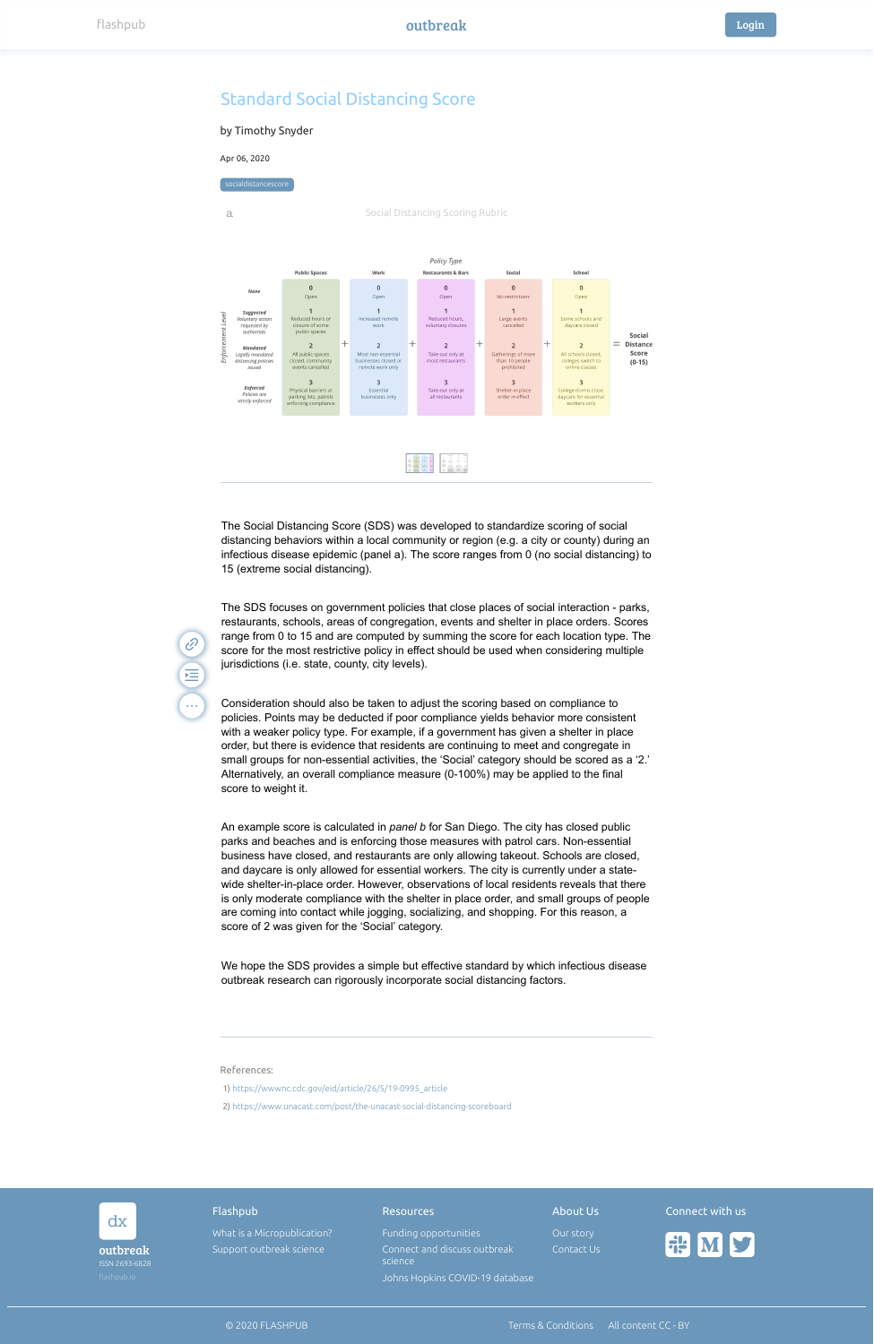### Flashpub Connect with us Resources About Us dx [What is a Micropublication?](https://www.flashpub.io/about) [Funding opportunities](https://midasnetwork.us/covid-19/) [Our story](https://medium.com/@flashpub_io/the-most-valuable-ip-on-the-planet-343a450cd4bb) **EL ME** Support outbreak science outbreak [Connect and discuss outbreak](https://join.slack.com/t/flashpubcommunity/shared_invite/zt-9kqlkgyd-zp0q5eJEO3~oPKHnx4DTqw) Contact Us science ISSN 2693-6828 [Johns Hopkins COVID-19 database](https://coronavirus.jhu.edu/)

© 2020 FLASHPUB [Terms & Conditions](https://outbreak.flashpub.io/) [All content CC - BY](https://outbreak.flashpub.io/)

### References:

 $\mathscr{C}$ 

(III)

...





- 1) [https://wwwnc.cdc.gov/eid/article/26/5/19-0995\\_article](https://wwwnc.cdc.gov/eid/article/26/5/19-0995_article)
- 2) <https://www.unacast.com/post/the-unacast-social-distancing-scoreboard>

The Social Distancing Score (SDS) was developed to standardize scoring of social distancing behaviors within a local community or region (e.g. a city or county) during an infectious disease epidemic (panel a). The score ranges from 0 (no social distancing) to 15 (extreme social distancing).

The SDS focuses on government policies that close places of social interaction - parks, restaurants, schools, areas of congregation, events and shelter in place orders. Scores range from 0 to 15 and are computed by summing the score for each location type. The score for the most restrictive policy in effect should be used when considering multiple jurisdictions (i.e. state, county, city levels).

Consideration should also be taken to adjust the scoring based on compliance to policies. Points may be deducted if poor compliance yields behavior more consistent with a weaker policy type. For example, if a government has given a shelter in place order, but there is evidence that residents are continuing to meet and congregate in small groups for non-essential activities, the 'Social' category should be scored as a '2.' Alternatively, an overall compliance measure (0-100%) may be applied to the final score to weight it.

An example score is calculated in *panel b* for San Diego. The city has closed public parks and beaches and is enforcing those measures with patrol cars. Non-essential business have closed, and restaurants are only allowing takeout. Schools are closed, and daycare is only allowed for essential workers. The city is currently under a statewide shelter-in-place order. However, observations of local residents reveals that there is only moderate compliance with the shelter in place order, and small groups of people are coming into contact while jogging, socializing, and shopping. For this reason, a score of 2 was given for the 'Social' category.

We hope the SDS provides a simple but effective standard by which infectious disease outbreak research can rigorously incorporate social distancing factors.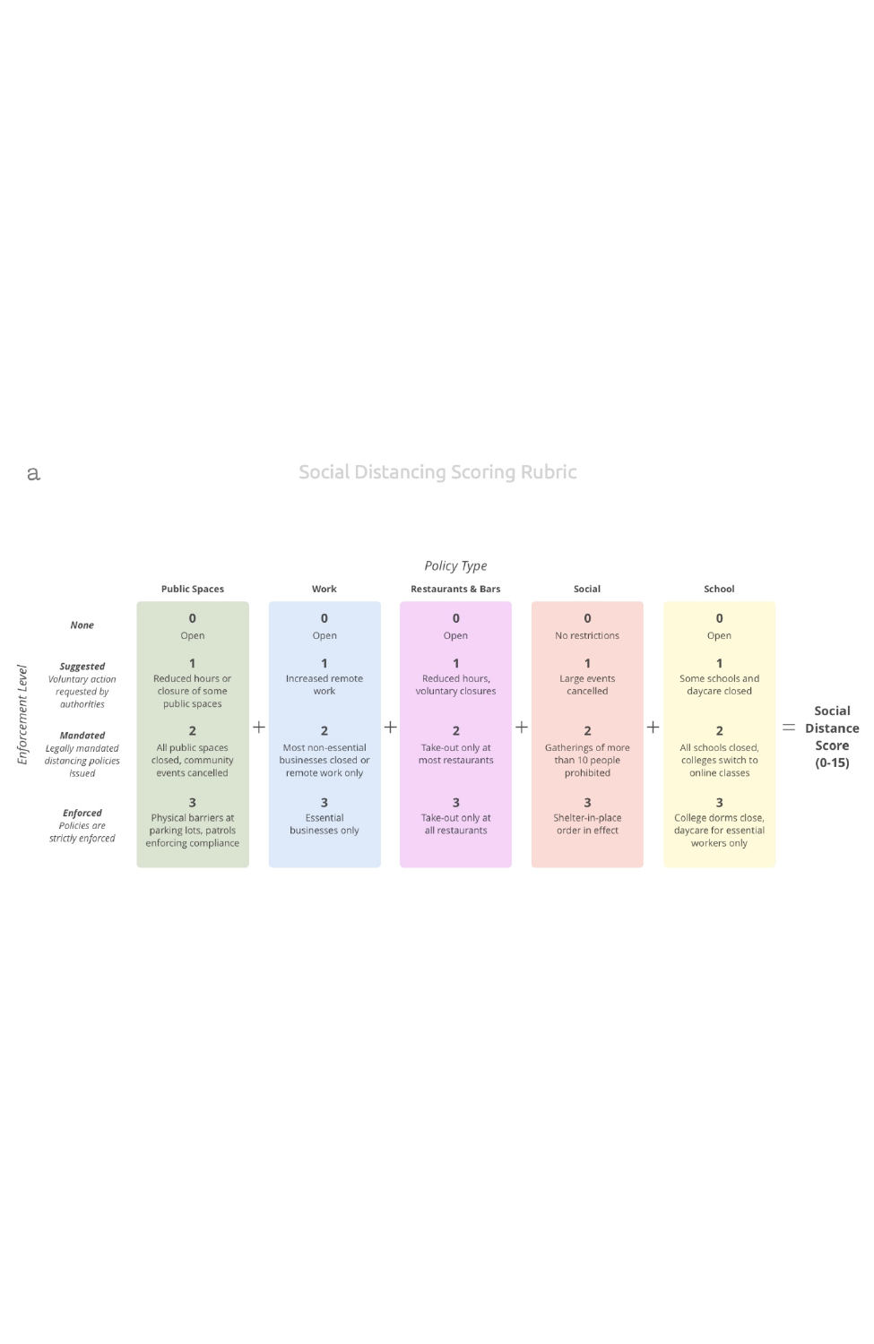Social Distancing Scoring Rubric

# Policy Type

|                                                                      | <b>Public Spaces</b>                                                  |        | Work                                                           |   | <b>Restaurants &amp; Bars</b>        | Social                                             | School                                                        |                                            |
|----------------------------------------------------------------------|-----------------------------------------------------------------------|--------|----------------------------------------------------------------|---|--------------------------------------|----------------------------------------------------|---------------------------------------------------------------|--------------------------------------------|
| None                                                                 | 0<br>Open                                                             |        | $\bf{0}$<br>Open                                               |   | $\bf{0}$<br>Open                     | $\bf{0}$<br>No restrictions                        | $\mathbf{0}$<br>Open                                          |                                            |
| Suggested<br>Voluntary action<br>requested by<br>authorities         | Reduced hours or<br>closure of some<br>public spaces                  |        | Increased remote<br>work                                       |   | Reduced hours,<br>voluntary closures | Large events<br>cancelled                          | Some schools and<br>daycare closed                            | Social                                     |
| <b>Mandated</b><br>Legally mandated<br>distancing policies<br>issued | All public spaces<br>closed, community<br>events cancelled            | $^{+}$ | Most non-essential<br>businesses closed or<br>remote work only | 士 | Take-out only at<br>most restaurants | Gatherings of more<br>than 10 people<br>prohibited | All schools closed,<br>colleges switch to<br>online classes   | <b>Distance</b><br>--<br>Score<br>$(0-15)$ |
| <b>Enforced</b><br>Policies are<br>strictly enforced                 | Physical barriers at<br>parking lots, patrols<br>enforcing compliance |        | Essential<br>businesses only                                   |   | Take-out only at<br>all restaurants  | Shelter-in-place<br>order in effect                | College dorms close,<br>daycare for essential<br>workers only |                                            |